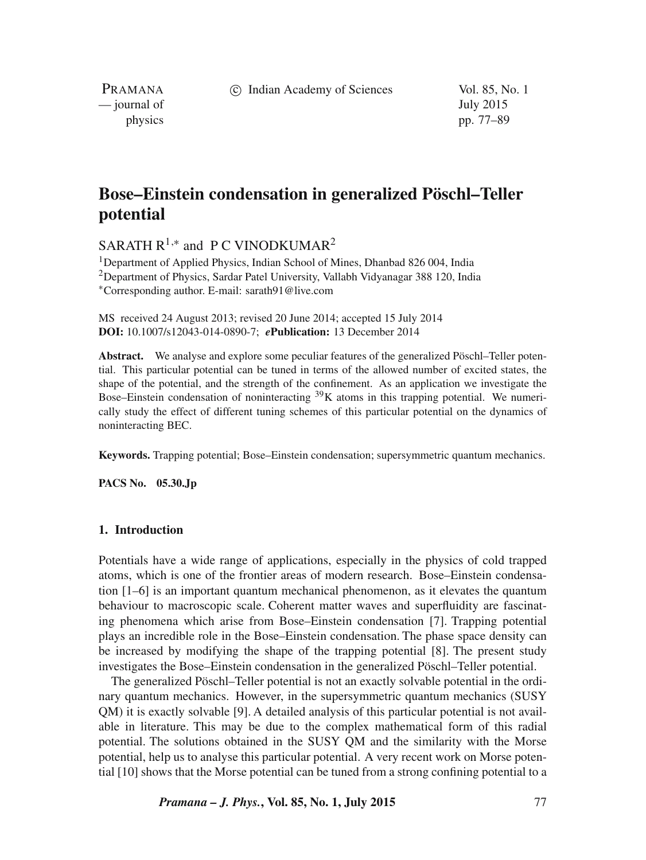c Indian Academy of Sciences Vol. 85, No. 1

PRAMANA — journal of July 2015

physics pp. 77–89

# **Bose–Einstein condensation in generalized Pöschl–Teller potential**

SARATH  $R^{1,*}$  and PC VINODKUMAR<sup>2</sup>

<sup>1</sup>Department of Applied Physics, Indian School of Mines, Dhanbad 826 004, India <sup>2</sup>Department of Physics, Sardar Patel University, Vallabh Vidyanagar 388 120, India <sup>∗</sup>Corresponding author. E-mail: sarath91@live.com

MS received 24 August 2013; revised 20 June 2014; accepted 15 July 2014 **DOI:** 10.1007/s12043-014-0890-7; *e***Publication:** 13 December 2014

**Abstract.** We analyse and explore some peculiar features of the generalized Pöschl–Teller potential. This particular potential can be tuned in terms of the allowed number of excited states, the shape of the potential, and the strength of the confinement. As an application we investigate the Bose–Einstein condensation of noninteracting  $39K$  atoms in this trapping potential. We numerically study the effect of different tuning schemes of this particular potential on the dynamics of noninteracting BEC.

**Keywords.** Trapping potential; Bose–Einstein condensation; supersymmetric quantum mechanics.

**PACS No. 05.30.Jp**

### **1. Introduction**

Potentials have a wide range of applications, especially in the physics of cold trapped atoms, which is one of the frontier areas of modern research. Bose–Einstein condensation [1–6] is an important quantum mechanical phenomenon, as it elevates the quantum behaviour to macroscopic scale. Coherent matter waves and superfluidity are fascinating phenomena which arise from Bose–Einstein condensation [7]. Trapping potential plays an incredible role in the Bose–Einstein condensation. The phase space density can be increased by modifying the shape of the trapping potential [8]. The present study investigates the Bose–Einstein condensation in the generalized Pöschl–Teller potential.

The generalized Pöschl–Teller potential is not an exactly solvable potential in the ordinary quantum mechanics. However, in the supersymmetric quantum mechanics (SUSY QM) it is exactly solvable [9]. A detailed analysis of this particular potential is not available in literature. This may be due to the complex mathematical form of this radial potential. The solutions obtained in the SUSY QM and the similarity with the Morse potential, help us to analyse this particular potential. A very recent work on Morse potential [10] shows that the Morse potential can be tuned from a strong confining potential to a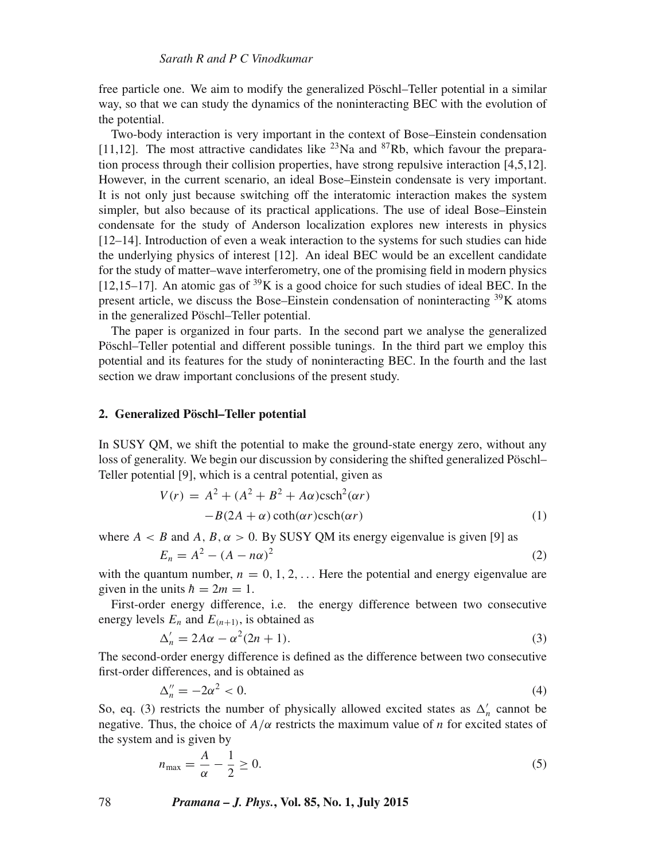free particle one. We aim to modify the generalized Pöschl–Teller potential in a similar way, so that we can study the dynamics of the noninteracting BEC with the evolution of the potential.

Two-body interaction is very important in the context of Bose–Einstein condensation [11,12]. The most attractive candidates like  $^{23}$ Na and  $^{87}$ Rb, which favour the preparation process through their collision properties, have strong repulsive interaction [4,5,12]. However, in the current scenario, an ideal Bose–Einstein condensate is very important. It is not only just because switching off the interatomic interaction makes the system simpler, but also because of its practical applications. The use of ideal Bose–Einstein condensate for the study of Anderson localization explores new interests in physics [12–14]. Introduction of even a weak interaction to the systems for such studies can hide the underlying physics of interest [12]. An ideal BEC would be an excellent candidate for the study of matter–wave interferometry, one of the promising field in modern physics  $[12,15-17]$ . An atomic gas of <sup>39</sup>K is a good choice for such studies of ideal BEC. In the present article, we discuss the Bose–Einstein condensation of noninteracting  $39K$  atoms in the generalized Pöschl–Teller potential.

The paper is organized in four parts. In the second part we analyse the generalized Pöschl–Teller potential and different possible tunings. In the third part we employ this potential and its features for the study of noninteracting BEC. In the fourth and the last section we draw important conclusions of the present study.

### **2. Generalized Pöschl–Teller potential**

In SUSY QM, we shift the potential to make the ground-state energy zero, without any loss of generality. We begin our discussion by considering the shifted generalized Pöschl– Teller potential [9], which is a central potential, given as

$$
V(r) = A2 + (A2 + B2 + A\alpha)\text{csch}2(\alpha r)
$$
  
-B(2A + \alpha) coth( $\alpha r$ )csch( $\alpha r$ ) (1)

where  $A < B$  and A, B,  $\alpha > 0$ . By SUSY QM its energy eigenvalue is given [9] as

$$
E_n = A^2 - (A - n\alpha)^2 \tag{2}
$$

with the quantum number,  $n = 0, 1, 2, \ldots$  Here the potential and energy eigenvalue are given in the units  $\hbar = 2m = 1$ .

First-order energy difference, i.e. the energy difference between two consecutive energy levels  $E_n$  and  $E_{(n+1)}$ , is obtained as

$$
\Delta'_n = 2A\alpha - \alpha^2(2n+1). \tag{3}
$$

The second-order energy difference is defined as the difference between two consecutive first-order differences, and is obtained as

$$
\Delta_n'' = -2\alpha^2 < 0. \tag{4}
$$

So, eq. (3) restricts the number of physically allowed excited states as  $\Delta'_n$  cannot be negative. Thus, the choice of  $A/\alpha$  restricts the maximum value of n for excited states of the system and is given by

$$
n_{\max} = \frac{A}{\alpha} - \frac{1}{2} \ge 0. \tag{5}
$$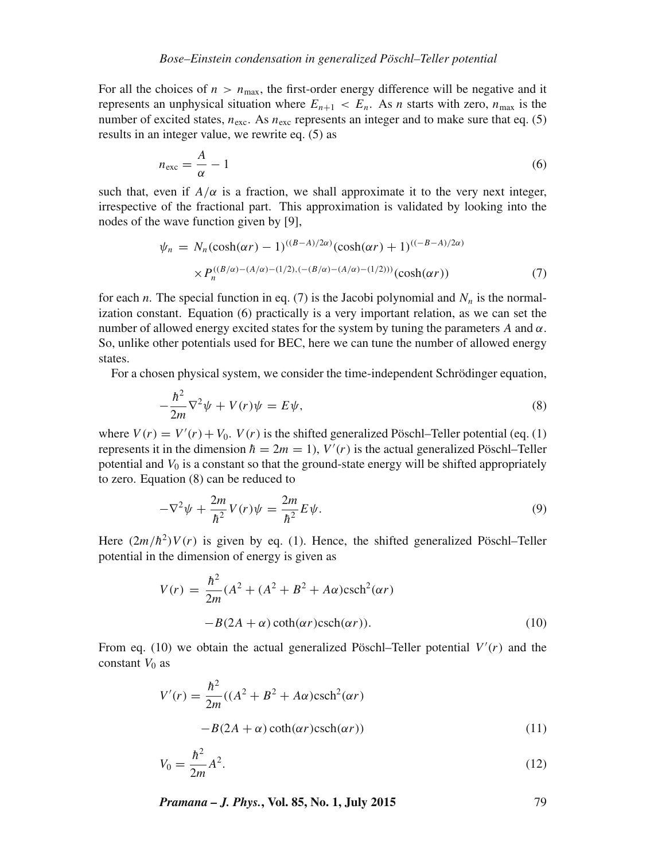For all the choices of  $n > n<sub>max</sub>$ , the first-order energy difference will be negative and it represents an unphysical situation where  $E_{n+1} < E_n$ . As *n* starts with zero,  $n_{\text{max}}$  is the number of excited states,  $n_{\text{exc}}$ . As  $n_{\text{exc}}$  represents an integer and to make sure that eq. (5) results in an integer value, we rewrite eq. (5) as

$$
n_{\text{exc}} = \frac{A}{\alpha} - 1\tag{6}
$$

such that, even if  $A/\alpha$  is a fraction, we shall approximate it to the very next integer, irrespective of the fractional part. This approximation is validated by looking into the nodes of the wave function given by [9],

$$
\psi_n = N_n(\cosh(\alpha r) - 1)^{((B-A)/2\alpha)}(\cosh(\alpha r) + 1)^{((-B-A)/2\alpha)} \times P_n^{((B/\alpha)-(A/\alpha)-(1/2),(-(B/\alpha)-(A/\alpha)-(1/2)))}(\cosh(\alpha r))
$$
\n(7)

for each *n*. The special function in eq. (7) is the Jacobi polynomial and  $N_n$  is the normalization constant. Equation (6) practically is a very important relation, as we can set the number of allowed energy excited states for the system by tuning the parameters A and  $\alpha$ . So, unlike other potentials used for BEC, here we can tune the number of allowed energy states.

For a chosen physical system, we consider the time-independent Schrödinger equation,

$$
-\frac{\hbar^2}{2m}\nabla^2\psi + V(r)\psi = E\psi,
$$
\n(8)

where  $V(r) = V'(r) + V_0$ .  $V(r)$  is the shifted generalized Pöschl–Teller potential (eq. (1) represents it in the dimension  $\hbar = 2m = 1$ ,  $V'(r)$  is the actual generalized Pöschl–Teller potential and  $V_0$  is a constant so that the ground-state energy will be shifted appropriately to zero. Equation (8) can be reduced to

$$
-\nabla^2 \psi + \frac{2m}{\hbar^2} V(r)\psi = \frac{2m}{\hbar^2} E\psi.
$$
 (9)

Here  $(2m/\hbar^2)V(r)$  is given by eq. (1). Hence, the shifted generalized Pöschl–Teller potential in the dimension of energy is given as

$$
V(r) = \frac{\hbar^2}{2m}(A^2 + (A^2 + B^2 + A\alpha)\text{csch}^2(\alpha r)
$$

$$
-B(2A + \alpha)\coth(\alpha r)\text{csch}(\alpha r)).
$$
 (10)

From eq. (10) we obtain the actual generalized Pöschl–Teller potential  $V'(r)$  and the constant  $V_0$  as

$$
V'(r) = \frac{\hbar^2}{2m}((A^2 + B^2 + A\alpha)\text{csch}^2(\alpha r)
$$

$$
-B(2A + \alpha)\coth(\alpha r)\text{csch}(\alpha r))
$$
(11)

$$
V_0 = \frac{\hbar^2}{2m} A^2.
$$
 (12)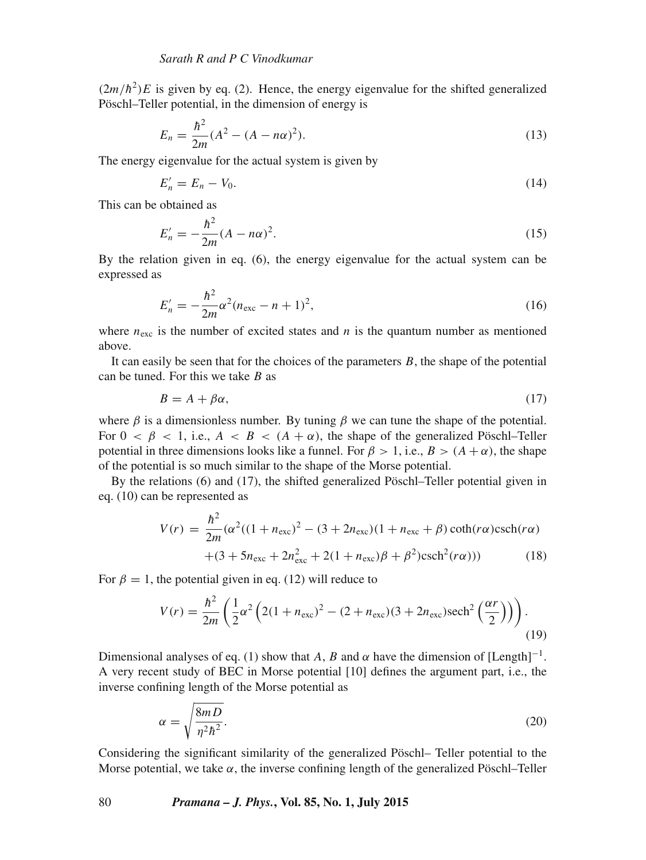$(2m/\hbar^2)E$  is given by eq. (2). Hence, the energy eigenvalue for the shifted generalized Pöschl–Teller potential, in the dimension of energy is

$$
E_n = \frac{\hbar^2}{2m} (A^2 - (A - n\alpha)^2).
$$
 (13)

The energy eigenvalue for the actual system is given by

$$
E'_n = E_n - V_0. \tag{14}
$$

This can be obtained as

$$
E_n' = -\frac{\hbar^2}{2m}(A - n\alpha)^2.
$$
 (15)

By the relation given in eq. (6), the energy eigenvalue for the actual system can be expressed as

$$
E'_n = -\frac{\hbar^2}{2m}\alpha^2(n_{\text{exc}} - n + 1)^2,\tag{16}
$$

where  $n_{\text{exc}}$  is the number of excited states and n is the quantum number as mentioned above.

It can easily be seen that for the choices of the parameters  $B$ , the shape of the potential can be tuned. For this we take  $B$  as

$$
B = A + \beta \alpha,\tag{17}
$$

where  $\beta$  is a dimensionless number. By tuning  $\beta$  we can tune the shape of the potential. For  $0 < \beta < 1$ , i.e.,  $A < B < (A + \alpha)$ , the shape of the generalized Pöschl–Teller potential in three dimensions looks like a funnel. For  $\beta > 1$ , i.e.,  $B > (A + \alpha)$ , the shape of the potential is so much similar to the shape of the Morse potential.

By the relations (6) and (17), the shifted generalized Pöschl–Teller potential given in eq. (10) can be represented as

$$
V(r) = \frac{\hbar^2}{2m} (\alpha^2 ((1 + n_{\text{exc}})^2 - (3 + 2n_{\text{exc}})(1 + n_{\text{exc}} + \beta) \coth(r\alpha) \text{csch}(r\alpha) + (3 + 5n_{\text{exc}} + 2n_{\text{exc}}^2 + 2(1 + n_{\text{exc}})\beta + \beta^2) \text{csch}^2(r\alpha))
$$
(18)

For  $\beta = 1$ , the potential given in eq. (12) will reduce to

$$
V(r) = \frac{\hbar^2}{2m} \left( \frac{1}{2} \alpha^2 \left( 2(1 + n_{\text{exc}})^2 - (2 + n_{\text{exc}})(3 + 2n_{\text{exc}}) \text{sech}^2 \left( \frac{\alpha r}{2} \right) \right) \right).
$$
\n(19)

Dimensional analyses of eq. (1) show that A, B and  $\alpha$  have the dimension of [Length]<sup>-1</sup>. A very recent study of BEC in Morse potential [10] defines the argument part, i.e., the inverse confining length of the Morse potential as

$$
\alpha = \sqrt{\frac{8mD}{\eta^2 \hbar^2}}.\tag{20}
$$

Considering the significant similarity of the generalized Pöschl– Teller potential to the Morse potential, we take  $\alpha$ , the inverse confining length of the generalized Pöschl–Teller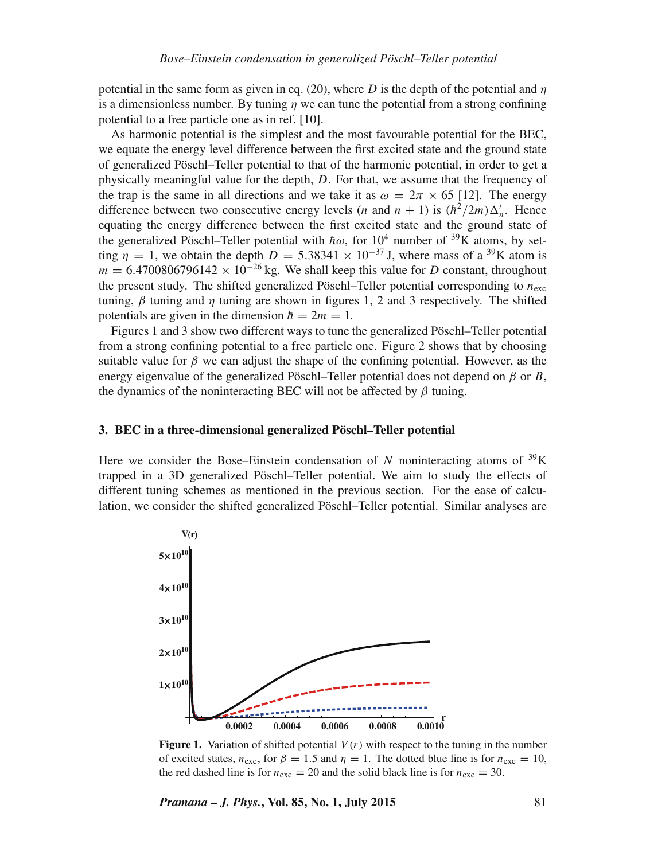potential in the same form as given in eq. (20), where D is the depth of the potential and  $\eta$ is a dimensionless number. By tuning  $n$  we can tune the potential from a strong confining potential to a free particle one as in ref. [10].

As harmonic potential is the simplest and the most favourable potential for the BEC, we equate the energy level difference between the first excited state and the ground state of generalized Pöschl–Teller potential to that of the harmonic potential, in order to get a physically meaningful value for the depth, D. For that, we assume that the frequency of the trap is the same in all directions and we take it as  $\omega = 2\pi \times 65$  [12]. The energy difference between two consecutive energy levels (*n* and  $n + 1$ ) is  $(\hbar^2/2m)\Delta'_n$ . Hence equating the energy difference between the first excited state and the ground state of the generalized Pöschl–Teller potential with  $\hbar \omega$ , for 10<sup>4</sup> number of <sup>39</sup>K atoms, by setting  $\eta = 1$ , we obtain the depth  $D = 5.38341 \times 10^{-37}$  J, where mass of a <sup>39</sup>K atom is  $m = 6.4700806796142 \times 10^{-26}$  kg. We shall keep this value for D constant, throughout the present study. The shifted generalized Pöschl–Teller potential corresponding to  $n_{\text{exc}}$ tuning,  $\beta$  tuning and  $\eta$  tuning are shown in figures 1, 2 and 3 respectively. The shifted potentials are given in the dimension  $\hbar = 2m = 1$ .

Figures 1 and 3 show two different ways to tune the generalized Pöschl–Teller potential from a strong confining potential to a free particle one. Figure 2 shows that by choosing suitable value for  $\beta$  we can adjust the shape of the confining potential. However, as the energy eigenvalue of the generalized Pöschl–Teller potential does not depend on  $\beta$  or B, the dynamics of the noninteracting BEC will not be affected by  $\beta$  tuning.

#### **3. BEC in a three-dimensional generalized Pöschl–Teller potential**

Here we consider the Bose–Einstein condensation of N noninteracting atoms of  $^{39}K$ trapped in a 3D generalized Pöschl–Teller potential. We aim to study the effects of different tuning schemes as mentioned in the previous section. For the ease of calculation, we consider the shifted generalized Pöschl–Teller potential. Similar analyses are



**Figure 1.** Variation of shifted potential  $V(r)$  with respect to the tuning in the number of excited states,  $n_{\text{exc}}$ , for  $\beta = 1.5$  and  $\eta = 1$ . The dotted blue line is for  $n_{\text{exc}} = 10$ , the red dashed line is for  $n_{\text{exc}} = 20$  and the solid black line is for  $n_{\text{exc}} = 30$ .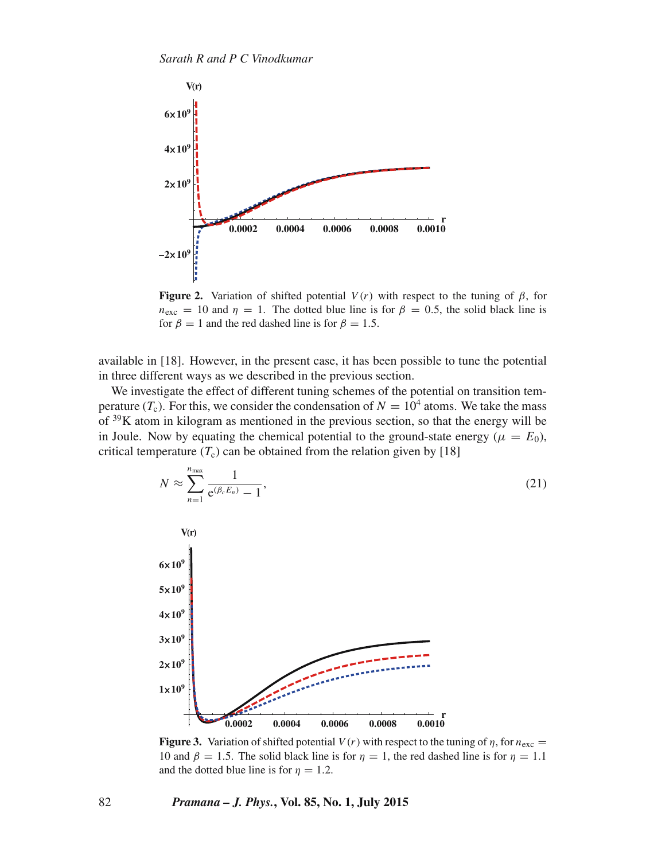

**Figure 2.** Variation of shifted potential  $V(r)$  with respect to the tuning of  $\beta$ , for  $n_{\text{exc}} = 10$  and  $\eta = 1$ . The dotted blue line is for  $\beta = 0.5$ , the solid black line is for  $\beta = 1$  and the red dashed line is for  $\beta = 1.5$ .

available in [18]. However, in the present case, it has been possible to tune the potential in three different ways as we described in the previous section.

We investigate the effect of different tuning schemes of the potential on transition temperature  $(T_c)$ . For this, we consider the condensation of  $N = 10^4$  atoms. We take the mass of  $39K$  atom in kilogram as mentioned in the previous section, so that the energy will be in Joule. Now by equating the chemical potential to the ground-state energy ( $\mu = E_0$ ), critical temperature  $(T_c)$  can be obtained from the relation given by [18]



**Figure 3.** Variation of shifted potential  $V(r)$  with respect to the tuning of  $\eta$ , for  $n_{\text{exc}} =$ 10 and  $\beta = 1.5$ . The solid black line is for  $\eta = 1$ , the red dashed line is for  $\eta = 1.1$ and the dotted blue line is for  $\eta = 1.2$ .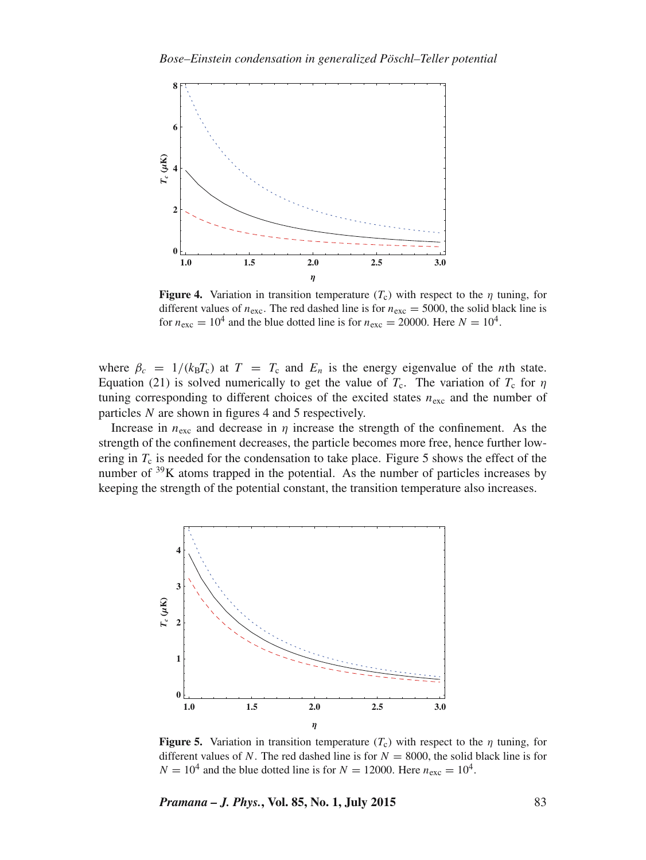

**Figure 4.** Variation in transition temperature  $(T_c)$  with respect to the  $\eta$  tuning, for different values of  $n_{\text{exc}}$ . The red dashed line is for  $n_{\text{exc}} = 5000$ , the solid black line is for  $n_{\text{exc}} = 10^4$  and the blue dotted line is for  $n_{\text{exc}} = 20000$ . Here  $N = 10^4$ .

where  $\beta_c = 1/(k_B T_c)$  at  $T = T_c$  and  $E_n$  is the energy eigenvalue of the *n*th state. Equation (21) is solved numerically to get the value of  $T_c$ . The variation of  $T_c$  for  $\eta$ tuning corresponding to different choices of the excited states  $n_{\text{exc}}$  and the number of particles N are shown in figures 4 and 5 respectively.

Increase in  $n_{\text{exc}}$  and decrease in  $\eta$  increase the strength of the confinement. As the strength of the confinement decreases, the particle becomes more free, hence further lowering in  $T_c$  is needed for the condensation to take place. Figure 5 shows the effect of the number of  $39K$  atoms trapped in the potential. As the number of particles increases by keeping the strength of the potential constant, the transition temperature also increases.



**Figure 5.** Variation in transition temperature  $(T_c)$  with respect to the  $\eta$  tuning, for different values of N. The red dashed line is for  $N = 8000$ , the solid black line is for  $N = 10^4$  and the blue dotted line is for  $N = 12000$ . Here  $n_{\text{exc}} = 10^4$ .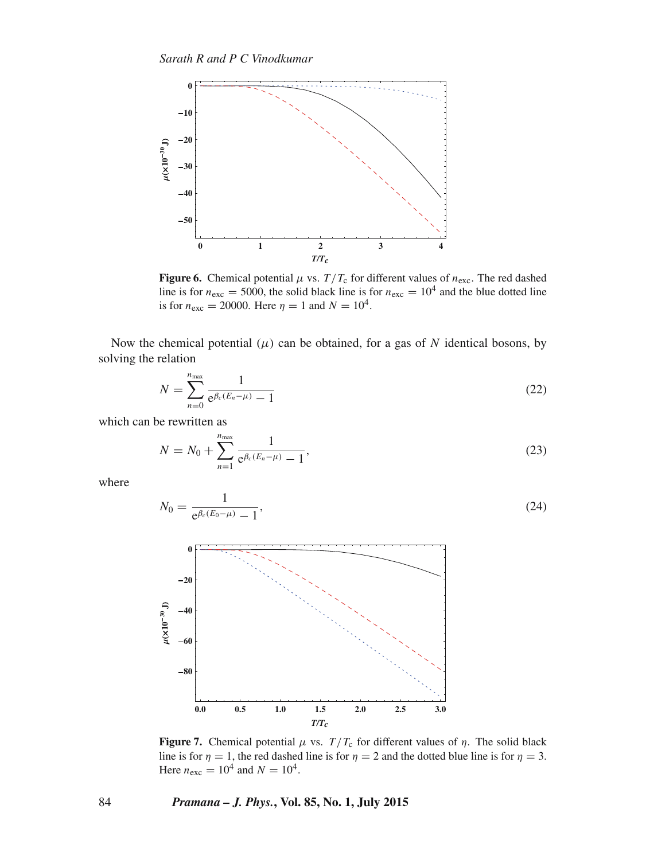

**Figure 6.** Chemical potential  $\mu$  vs.  $T/T_c$  for different values of  $n_{\text{exc}}$ . The red dashed line is for  $n_{\text{exc}} = 5000$ , the solid black line is for  $n_{\text{exc}} = 10^4$  and the blue dotted line is for  $n_{\text{exc}} = 20000$ . Here  $\eta = 1$  and  $N = 10^4$ .

Now the chemical potential  $(\mu)$  can be obtained, for a gas of N identical bosons, by solving the relation

$$
N = \sum_{n=0}^{n_{\text{max}}} \frac{1}{e^{\beta_c (E_n - \mu)} - 1}
$$
 (22)

which can be rewritten as

$$
N = N_0 + \sum_{n=1}^{n_{\text{max}}} \frac{1}{e^{\beta_c (E_n - \mu)} - 1},
$$
\n(23)

where

$$
N_0 = \frac{1}{e^{\beta_c(E_0 - \mu)} - 1},\tag{24}
$$



**Figure 7.** Chemical potential  $\mu$  vs.  $T/T_c$  for different values of  $\eta$ . The solid black line is for  $\eta = 1$ , the red dashed line is for  $\eta = 2$  and the dotted blue line is for  $\eta = 3$ . Here  $n_{\text{exc}} = 10^4$  and  $N = 10^4$ .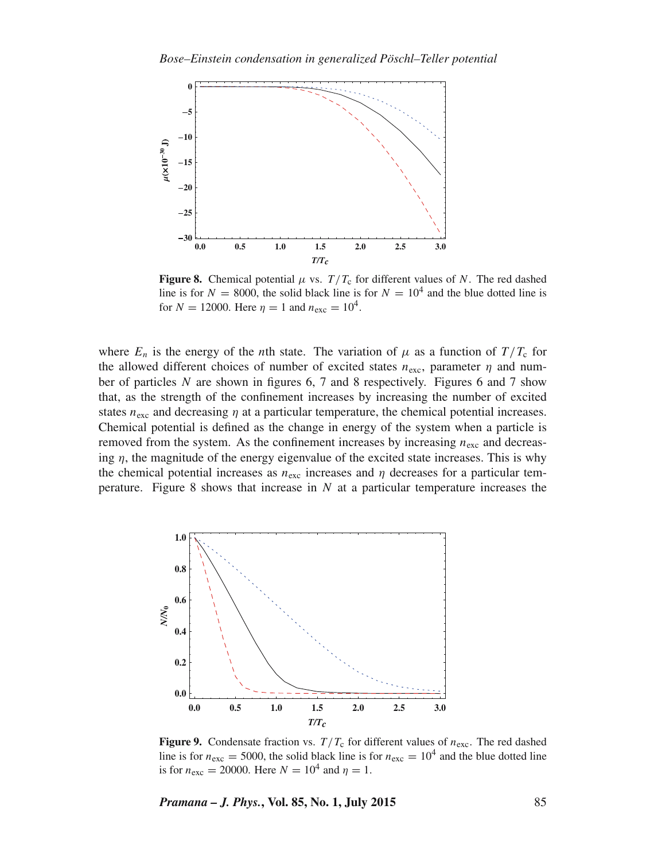

**Figure 8.** Chemical potential  $\mu$  vs.  $T/T_c$  for different values of N. The red dashed line is for  $N = 8000$ , the solid black line is for  $N = 10<sup>4</sup>$  and the blue dotted line is for  $N = 12000$ . Here  $\eta = 1$  and  $n_{\text{exc}} = 10^4$ .

where  $E_n$  is the energy of the *n*th state. The variation of  $\mu$  as a function of  $T/T_c$  for the allowed different choices of number of excited states  $n_{\text{exc}}$ , parameter  $\eta$  and number of particles  $N$  are shown in figures 6, 7 and 8 respectively. Figures 6 and 7 show that, as the strength of the confinement increases by increasing the number of excited states  $n_{\text{exc}}$  and decreasing  $\eta$  at a particular temperature, the chemical potential increases. Chemical potential is defined as the change in energy of the system when a particle is removed from the system. As the confinement increases by increasing  $n_{\text{exc}}$  and decreasing  $\eta$ , the magnitude of the energy eigenvalue of the excited state increases. This is why the chemical potential increases as  $n_{\text{exc}}$  increases and  $\eta$  decreases for a particular temperature. Figure 8 shows that increase in  $N$  at a particular temperature increases the



**Figure 9.** Condensate fraction vs.  $T/T_c$  for different values of  $n_{\text{exc}}$ . The red dashed line is for  $n_{\text{exc}} = 5000$ , the solid black line is for  $n_{\text{exc}} = 10^4$  and the blue dotted line is for  $n_{\text{exc}} = 20000$ . Here  $N = 10^4$  and  $\eta = 1$ .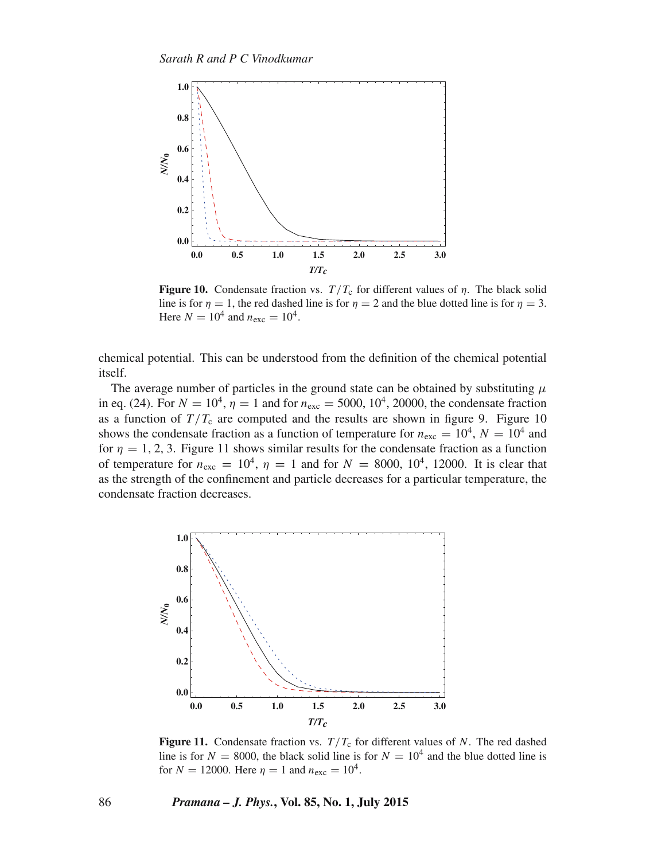

**Figure 10.** Condensate fraction vs.  $T/T_c$  for different values of  $\eta$ . The black solid line is for  $\eta = 1$ , the red dashed line is for  $\eta = 2$  and the blue dotted line is for  $\eta = 3$ . Here  $N = 10^4$  and  $n_{\text{exc}} = 10^4$ .

chemical potential. This can be understood from the definition of the chemical potential itself.

The average number of particles in the ground state can be obtained by substituting  $\mu$ in eq. (24). For  $N = 10^4$ ,  $\eta = 1$  and for  $n_{\text{exc}} = 5000$ ,  $10^4$ , 20000, the condensate fraction as a function of  $T/T_c$  are computed and the results are shown in figure 9. Figure 10 shows the condensate fraction as a function of temperature for  $n_{\text{exc}} = 10^4$ ,  $N = 10^4$  and for  $\eta = 1, 2, 3$ . Figure 11 shows similar results for the condensate fraction as a function of temperature for  $n_{\text{exc}} = 10^4$ ,  $\eta = 1$  and for  $N = 8000$ ,  $10^4$ , 12000. It is clear that as the strength of the confinement and particle decreases for a particular temperature, the condensate fraction decreases.



**Figure 11.** Condensate fraction vs.  $T/T_c$  for different values of N. The red dashed line is for  $N = 8000$ , the black solid line is for  $N = 10<sup>4</sup>$  and the blue dotted line is for  $N = 12000$ . Here  $\eta = 1$  and  $n_{\text{exc}} = 10^4$ .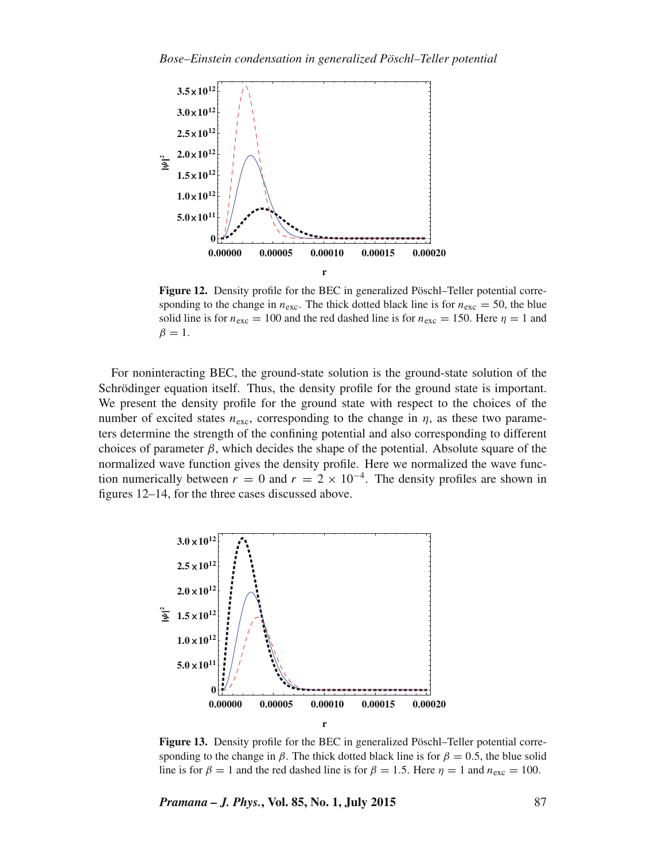

**Figure 12.** Density profile for the BEC in generalized Pöschl–Teller potential corresponding to the change in  $n_{\text{exc}}$ . The thick dotted black line is for  $n_{\text{exc}} = 50$ , the blue solid line is for  $n_{\text{exc}} = 100$  and the red dashed line is for  $n_{\text{exc}} = 150$ . Here  $\eta = 1$  and  $\beta = 1$ .

For noninteracting BEC, the ground-state solution is the ground-state solution of the Schrödinger equation itself. Thus, the density profile for the ground state is important. We present the density profile for the ground state with respect to the choices of the number of excited states  $n_{\text{exc}}$ , corresponding to the change in  $\eta$ , as these two parameters determine the strength of the confining potential and also corresponding to different choices of parameter  $\beta$ , which decides the shape of the potential. Absolute square of the normalized wave function gives the density profile. Here we normalized the wave function numerically between  $r = 0$  and  $r = 2 \times 10^{-4}$ . The density profiles are shown in figures 12–14, for the three cases discussed above.



**Figure 13.** Density profile for the BEC in generalized Pöschl–Teller potential corresponding to the change in  $\beta$ . The thick dotted black line is for  $\beta = 0.5$ , the blue solid line is for  $\beta = 1$  and the red dashed line is for  $\beta = 1.5$ . Here  $\eta = 1$  and  $n_{\text{exc}} = 100$ .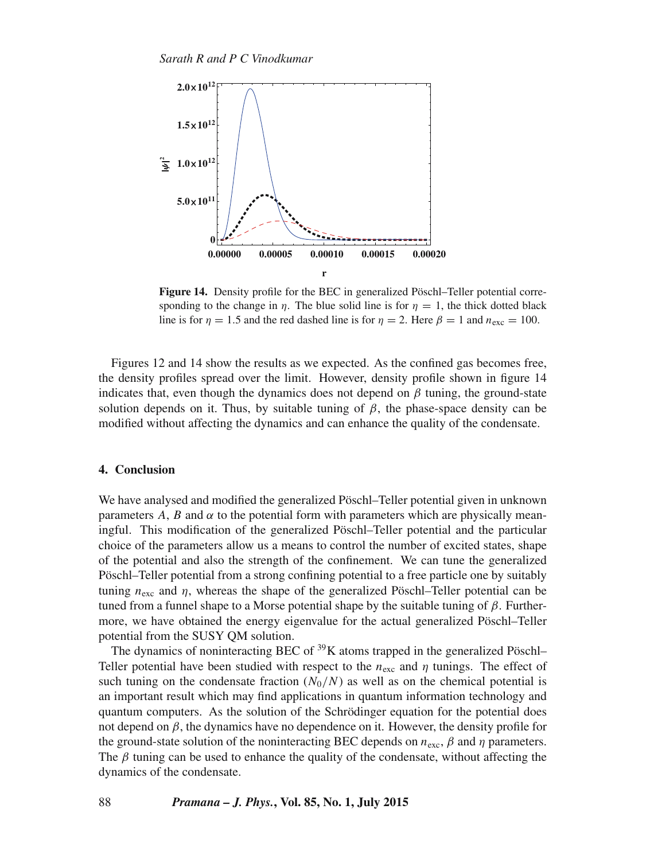

**Figure 14.** Density profile for the BEC in generalized Pöschl–Teller potential corresponding to the change in  $\eta$ . The blue solid line is for  $\eta = 1$ , the thick dotted black line is for  $\eta = 1.5$  and the red dashed line is for  $\eta = 2$ . Here  $\beta = 1$  and  $n_{\text{exc}} = 100$ .

Figures 12 and 14 show the results as we expected. As the confined gas becomes free, the density profiles spread over the limit. However, density profile shown in figure 14 indicates that, even though the dynamics does not depend on  $\beta$  tuning, the ground-state solution depends on it. Thus, by suitable tuning of  $\beta$ , the phase-space density can be modified without affecting the dynamics and can enhance the quality of the condensate.

#### **4. Conclusion**

We have analysed and modified the generalized Pöschl–Teller potential given in unknown parameters A, B and  $\alpha$  to the potential form with parameters which are physically meaningful. This modification of the generalized Pöschl–Teller potential and the particular choice of the parameters allow us a means to control the number of excited states, shape of the potential and also the strength of the confinement. We can tune the generalized Pöschl–Teller potential from a strong confining potential to a free particle one by suitably tuning  $n_{\text{exc}}$  and  $\eta$ , whereas the shape of the generalized Pöschl–Teller potential can be tuned from a funnel shape to a Morse potential shape by the suitable tuning of  $\beta$ . Furthermore, we have obtained the energy eigenvalue for the actual generalized Pöschl–Teller potential from the SUSY QM solution.

The dynamics of noninteracting BEC of  $39K$  atoms trapped in the generalized Pöschl– Teller potential have been studied with respect to the  $n_{\text{exc}}$  and  $\eta$  tunings. The effect of such tuning on the condensate fraction  $(N_0/N)$  as well as on the chemical potential is an important result which may find applications in quantum information technology and quantum computers. As the solution of the Schrödinger equation for the potential does not depend on  $\beta$ , the dynamics have no dependence on it. However, the density profile for the ground-state solution of the noninteracting BEC depends on  $n_{\text{exc}}, \beta$  and  $\eta$  parameters. The  $\beta$  tuning can be used to enhance the quality of the condensate, without affecting the dynamics of the condensate.